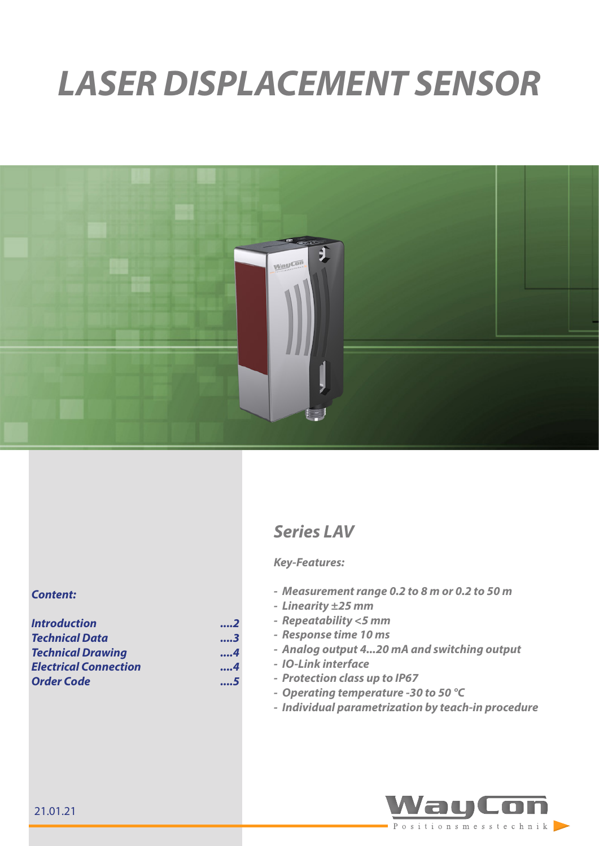# *LASER DISPLACEMENT SENSOR*



## *Series LAV*

### *Key-Features:*

- *- Measurement range 0.2 to 8 m or 0.2 to 50 m*
- *- Linearity ±25 mm*
- *- Repeatability <5 mm*
- *- Response time 10 ms*
- *- Analog output 4...20 mA and switching output*
- *- IO-Link interface*
- *- Protection class up to IP67*
- *- Operating temperature -30 to 50 °C*
- *- Individual parametrization by teach-in procedure*



#### *Content:*

| <b>Introduction</b>          | 2   |
|------------------------------|-----|
| Technical Data               | 3   |
| <b>Technical Drawing</b>     | 4   |
| <b>Electrical Connection</b> | . 4 |
| <b>Order Code</b>            | 5   |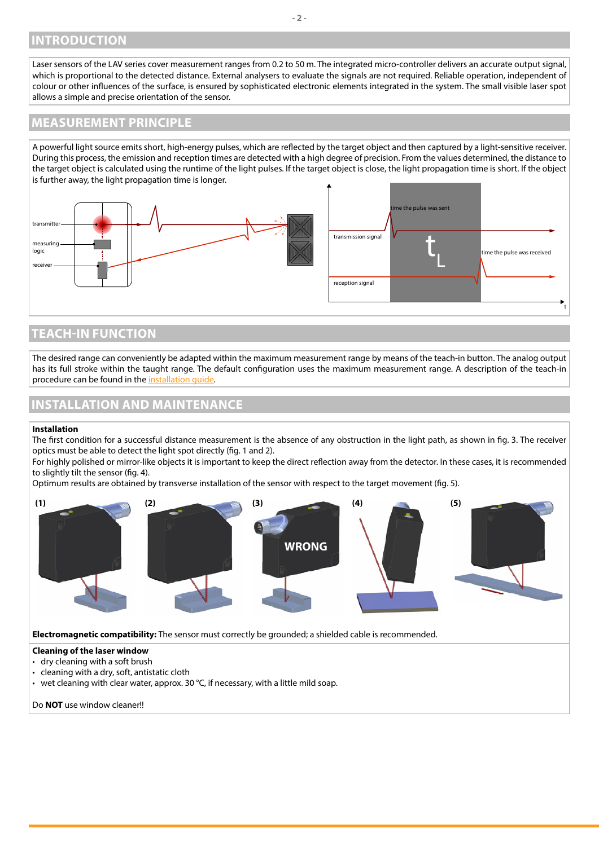## <span id="page-1-0"></span>**INTRODUCTION**

Laser sensors of the LAV series cover measurement ranges from 0.2 to 50 m. The integrated micro-controller delivers an accurate output signal, which is proportional to the detected distance. External analysers to evaluate the signals are not required. Reliable operation, independent of colour or other influences of the surface, is ensured by sophisticated electronic elements integrated in the system. The small visible laser spot allows a simple and precise orientation of the sensor.

## **MEASUREMENT PRINCIPLE**

A powerful light source emits short, high-energy pulses, which are reflected by the target object and then captured by a light-sensitive receiver. During this process, the emission and reception times are detected with a high degree of precision. From the values determined, the distance to the target object is calculated using the runtime of the light pulses. If the target object is close, the light propagation time is short. If the object is further away, the light propagation time is longer.



## **TEACH-IN FUNCTION**

The desired range can conveniently be adapted within the maximum measurement range by means of the teach-in button. The analog output has its full stroke within the taught range. The default configuration uses the maximum measurement range. A description of the teach-in procedure can be found in the [installation guide.](https://www.waycon.biz/fileadmin/laser-sensors/Laser-Displacement-Sensor-LAV-Installation-Guide.pdf)

## **INSTALLATION AND MAINTENANCE**

#### **Installation**

The first condition for a successful distance measurement is the absence of any obstruction in the light path, as shown in fig. 3. The receiver optics must be able to detect the light spot directly (fig. 1 and 2).

For highly polished or mirror-like objects it is important to keep the direct reflection away from the detector. In these cases, it is recommended to slightly tilt the sensor (fig. 4).

Optimum results are obtained by transverse installation of the sensor with respect to the target movement (fig. 5).



#### • wet cleaning with clear water, approx. 30 °C, if necessary, with a little mild soap.

#### Do **NOT** use window cleaner!!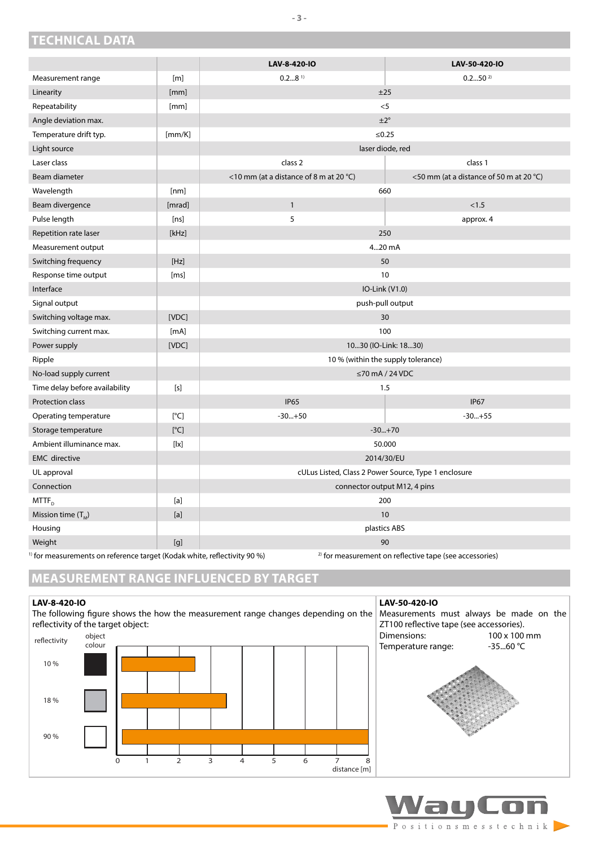<span id="page-2-0"></span>**TECHNICAL DATA**

|                                |                                                                                                                                                                                                                                                                                                                                                                                                                                                                                                          | LAV-8-420-IO                                         | LAV-50-420-IO                           |  |
|--------------------------------|----------------------------------------------------------------------------------------------------------------------------------------------------------------------------------------------------------------------------------------------------------------------------------------------------------------------------------------------------------------------------------------------------------------------------------------------------------------------------------------------------------|------------------------------------------------------|-----------------------------------------|--|
| Measurement range              | [m]                                                                                                                                                                                                                                                                                                                                                                                                                                                                                                      | $0.28$ <sup>1)</sup>                                 | $0.250^{2}$                             |  |
| Linearity                      | [mm]                                                                                                                                                                                                                                                                                                                                                                                                                                                                                                     | ±25                                                  |                                         |  |
| Repeatability                  | [mm]                                                                                                                                                                                                                                                                                                                                                                                                                                                                                                     |                                                      | $<$ 5                                   |  |
| Angle deviation max.           |                                                                                                                                                                                                                                                                                                                                                                                                                                                                                                          | $\pm 2^{\circ}$                                      |                                         |  |
| Temperature drift typ.         | [mm/K]                                                                                                                                                                                                                                                                                                                                                                                                                                                                                                   | $≤0.25$                                              |                                         |  |
| Light source                   |                                                                                                                                                                                                                                                                                                                                                                                                                                                                                                          | laser diode, red                                     |                                         |  |
| Laser class                    |                                                                                                                                                                                                                                                                                                                                                                                                                                                                                                          | class <sub>2</sub>                                   | class 1                                 |  |
| Beam diameter                  |                                                                                                                                                                                                                                                                                                                                                                                                                                                                                                          | <10 mm (at a distance of 8 m at 20 °C)               | <50 mm (at a distance of 50 m at 20 °C) |  |
| Wavelength                     | [nm]                                                                                                                                                                                                                                                                                                                                                                                                                                                                                                     | 660                                                  |                                         |  |
| Beam divergence                | [mrad]                                                                                                                                                                                                                                                                                                                                                                                                                                                                                                   | $\mathbf{1}$                                         | < 1.5                                   |  |
| Pulse length                   | [ns]                                                                                                                                                                                                                                                                                                                                                                                                                                                                                                     | 5                                                    | approx. 4                               |  |
| Repetition rate laser          | [kHz]                                                                                                                                                                                                                                                                                                                                                                                                                                                                                                    | 250                                                  |                                         |  |
| Measurement output             |                                                                                                                                                                                                                                                                                                                                                                                                                                                                                                          | 420 mA                                               |                                         |  |
| Switching frequency            | [Hz]                                                                                                                                                                                                                                                                                                                                                                                                                                                                                                     | 50                                                   |                                         |  |
| Response time output           | [ms]                                                                                                                                                                                                                                                                                                                                                                                                                                                                                                     | 10                                                   |                                         |  |
| Interface                      |                                                                                                                                                                                                                                                                                                                                                                                                                                                                                                          | IO-Link (V1.0)                                       |                                         |  |
| Signal output                  |                                                                                                                                                                                                                                                                                                                                                                                                                                                                                                          | push-pull output                                     |                                         |  |
| Switching voltage max.         | [VDC]                                                                                                                                                                                                                                                                                                                                                                                                                                                                                                    | 30                                                   |                                         |  |
| Switching current max.         | [mA]                                                                                                                                                                                                                                                                                                                                                                                                                                                                                                     | 100                                                  |                                         |  |
| Power supply                   | [VDC]                                                                                                                                                                                                                                                                                                                                                                                                                                                                                                    | 1030 (IO-Link: 1830)                                 |                                         |  |
| Ripple                         |                                                                                                                                                                                                                                                                                                                                                                                                                                                                                                          | 10 % (within the supply tolerance)                   |                                         |  |
| No-load supply current         |                                                                                                                                                                                                                                                                                                                                                                                                                                                                                                          | $\leq$ 70 mA / 24 VDC                                |                                         |  |
| Time delay before availability | [s]                                                                                                                                                                                                                                                                                                                                                                                                                                                                                                      | 1.5                                                  |                                         |  |
| Protection class               |                                                                                                                                                                                                                                                                                                                                                                                                                                                                                                          | <b>IP65</b>                                          | <b>IP67</b>                             |  |
| Operating temperature          | [°C]                                                                                                                                                                                                                                                                                                                                                                                                                                                                                                     | $-30+50$                                             | $-30+55$                                |  |
| Storage temperature            | [°C]                                                                                                                                                                                                                                                                                                                                                                                                                                                                                                     | $-30+70$                                             |                                         |  |
| Ambient illuminance max.       | $[ \,   \mathsf{x} ]$                                                                                                                                                                                                                                                                                                                                                                                                                                                                                    | 50.000                                               |                                         |  |
| <b>EMC</b> directive           |                                                                                                                                                                                                                                                                                                                                                                                                                                                                                                          | 2014/30/EU                                           |                                         |  |
| UL approval                    |                                                                                                                                                                                                                                                                                                                                                                                                                                                                                                          | cULus Listed, Class 2 Power Source, Type 1 enclosure |                                         |  |
| Connection                     |                                                                                                                                                                                                                                                                                                                                                                                                                                                                                                          | connector output M12, 4 pins                         |                                         |  |
| $MTTF$ <sub>D</sub>            | $[{\sf a}]$                                                                                                                                                                                                                                                                                                                                                                                                                                                                                              | 200                                                  |                                         |  |
| Mission time $(T_M)$           | $[a] % \begin{center} % \includegraphics[width=\linewidth]{imagesSupplemental_3.png} % \end{center} % \caption { % \textit{DefNet} and \textit{DefNet}~\textit{DefNet}~\textit{DefNet}~\textit{DefNet}~\textit{DefNet}~\textit{DefNet}~\textit{DefNet}~\textit{DefNet}~\textit{DefNet}~\textit{DefNet}~\textit{DefNet}~\textit{DefNet}~\textit{DefNet}~\textit{DefNet}~\textit{DefNet}~\textit{DefNet}~\textit{DefNet}~\textit{DefNet}~\textit{DefNet}~\textit{DefNet}~\textit{DefNet}~\textit{DefNet}~$ | 10                                                   |                                         |  |
| Housing                        |                                                                                                                                                                                                                                                                                                                                                                                                                                                                                                          | plastics ABS                                         |                                         |  |
| Weight                         | [q]                                                                                                                                                                                                                                                                                                                                                                                                                                                                                                      | 90                                                   |                                         |  |

<sup>1)</sup> for measurements on reference target (Kodak white, reflectivity 90 %)  $2^{2}$  for measurement on reflective tape (see accessories)

## **MEASUREMENT RANGE INFLUENCED BY TARGET**

#### **LAV-8-420-IO**

The following figure shows the how the measurement range changes depending on the reflectivity of the target object:



## **LAV-50-420-IO** Measurements must always be made on the ZT100 reflective tape (see accessories). Dimensions:  $100 \times 100$  mm<br>Temperature range:  $-35...60$  °C Temperature range:



**- 3 -**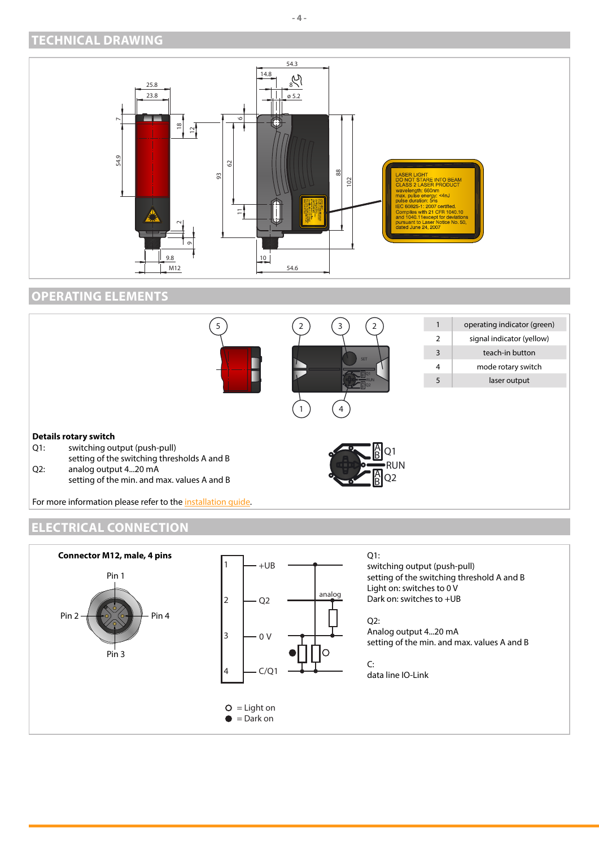## <span id="page-3-0"></span>**TECHNICAL DRAWING**



## **OPERATING ELEMENTS**



## **ELECTRICAL CONNECTION**